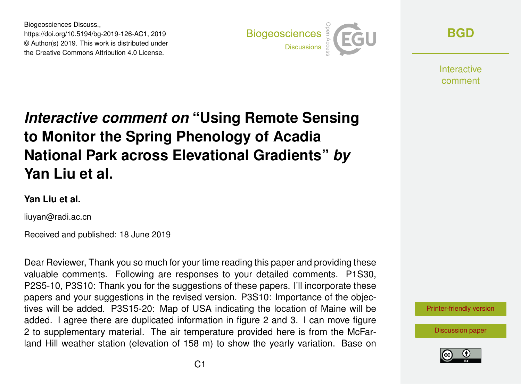Biogeosciences Discuss., https://doi.org/10.5194/bg-2019-126-AC1, 2019 © Author(s) 2019. This work is distributed under the Creative Commons Attribution 4.0 License.



**[BGD](https://www.biogeosciences-discuss.net/)**

**Interactive** comment

## *Interactive comment on* **"Using Remote Sensing to Monitor the Spring Phenology of Acadia National Park across Elevational Gradients"** *by* **Yan Liu et al.**

## **Yan Liu et al.**

liuyan@radi.ac.cn

Received and published: 18 June 2019

Dear Reviewer, Thank you so much for your time reading this paper and providing these valuable comments. Following are responses to your detailed comments. P1S30, P2S5-10, P3S10: Thank you for the suggestions of these papers. I'll incorporate these papers and your suggestions in the revised version. P3S10: Importance of the objectives will be added. P3S15-20: Map of USA indicating the location of Maine will be added. I agree there are duplicated information in figure 2 and 3. I can move figure 2 to supplementary material. The air temperature provided here is from the McFarland Hill weather station (elevation of 158 m) to show the yearly variation. Base on



[Discussion paper](https://www.biogeosciences-discuss.net/bg-2019-126)

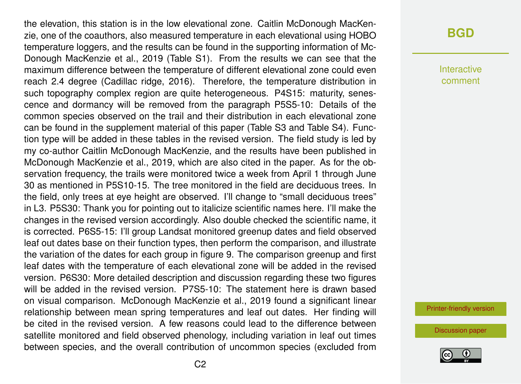the elevation, this station is in the low elevational zone. Caitlin McDonough MacKenzie, one of the coauthors, also measured temperature in each elevational using HOBO temperature loggers, and the results can be found in the supporting information of Mc-Donough MacKenzie et al., 2019 (Table S1). From the results we can see that the maximum difference between the temperature of different elevational zone could even reach 2.4 degree (Cadillac ridge, 2016). Therefore, the temperature distribution in such topography complex region are quite heterogeneous. P4S15: maturity, senescence and dormancy will be removed from the paragraph P5S5-10: Details of the common species observed on the trail and their distribution in each elevational zone can be found in the supplement material of this paper (Table S3 and Table S4). Function type will be added in these tables in the revised version. The field study is led by my co-author Caitlin McDonough MacKenzie, and the results have been published in McDonough MacKenzie et al., 2019, which are also cited in the paper. As for the observation frequency, the trails were monitored twice a week from April 1 through June 30 as mentioned in P5S10-15. The tree monitored in the field are deciduous trees. In the field, only trees at eye height are observed. I'll change to "small deciduous trees" in L3. P5S30: Thank you for pointing out to italicize scientific names here. I'll make the changes in the revised version accordingly. Also double checked the scientific name, it is corrected. P6S5-15: I'll group Landsat monitored greenup dates and field observed leaf out dates base on their function types, then perform the comparison, and illustrate the variation of the dates for each group in figure 9. The comparison greenup and first leaf dates with the temperature of each elevational zone will be added in the revised version. P6S30: More detailed description and discussion regarding these two figures will be added in the revised version. P7S5-10: The statement here is drawn based on visual comparison. McDonough MacKenzie et al., 2019 found a significant linear relationship between mean spring temperatures and leaf out dates. Her finding will be cited in the revised version. A few reasons could lead to the difference between satellite monitored and field observed phenology, including variation in leaf out times between species, and the overall contribution of uncommon species (excluded from

## **[BGD](https://www.biogeosciences-discuss.net/)**

Interactive comment

[Printer-friendly version](https://www.biogeosciences-discuss.net/bg-2019-126/bg-2019-126-AC1-print.pdf)

[Discussion paper](https://www.biogeosciences-discuss.net/bg-2019-126)